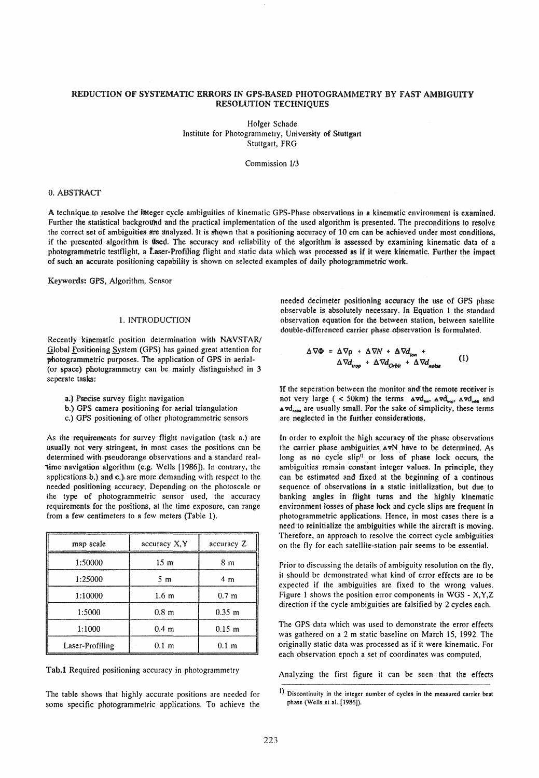# REDUCTION OF SYSTEMATIC ERRORS IN GPS·BASED PHOTOGRAMMETRY BY FAST AMBIGUITY RESOLUTION TECHNIQUES

Hofger Schade Institute for Photogrammetry, University of Stuttgart Stuttgart, FRG

Commission I/3

# O. ABSTRACf

A technique to resolve the imeger cycle ambiguities of kinematic GPS-Phase observations in a kinematic environment is examined. Further the statistical background and the practical implementation of the used algorithm is presented. The preconditions to resolve the correct set of ambiguities are analyzed. It is shown that a positioning accuracy of 10 cm can be achieved under most conditions, if the presented algorithm is tlsed. The accuracy and reliability of the algorithm is assessed by examining kinematic data of a photogrammetric testflight, a Laser-Profiling flight and static data which was processed as if it were kinematic. Further the impact of such an accurate positioning capability is shown on selected examples of daily photogrammetric work.

Keywords: GPS, Algorithm, Sensor

# 1. INTRODUCfION

Recently kinematic position determination with NAVSTAR/ Global Fositioning System (GPS) has gained great attention for photogrammetric purposes. The application of GPS in aerial-(cr space) phctogrammetry can be mainly distinguished in 3 seperate tasks:

- a.) Precise survey flight navigation
- b.) GPS camera positioning for aerial triangulation
- c.) GPS positioning of other photogrammetric sensors

As the requirements for survey flight navigation (task a.) are usually not very stringent, in most cases the positions can be determined with pseudorange observations and a standard realtime navigation algorithm (e.g. Wells [1986]). In contrary, the applications b.) and c.) are more demanding with respect to the needed positioning accuracy. Depending on the photoscale or the type of photogrammetric sensor used, the accuracy requirements for the positions, at the time exposure, can range from a few centimeters to a few meters (Table 1).

| map scale       | accuracy X, Y    | accuracy Z       |
|-----------------|------------------|------------------|
| 1:50000         | 15 <sub>m</sub>  | 8 <sub>m</sub>   |
| 1:25000         | 5 <sub>m</sub>   | 4 <sub>m</sub>   |
| 1:10000         | 1.6 <sub>m</sub> | 0.7 <sub>m</sub> |
| 1:5000          | 0.8 <sub>m</sub> | $0.35 \; m$      |
| 1:1000          | 0.4 <sub>m</sub> | $0.15 \; m$      |
| Laser-Profiling | 0.1 <sub>m</sub> | 0.1 <sub>m</sub> |

Tab.1 Required positioning accuracy in photogrammetry

The table shows that highly accurate positions are needed for some specific photogrammetric applications. To achieve the needed decimeter positioning accuracy the use of GPS phase cbservabie is absclutely necessary, In Equation 1 thc standard observation equation for the between station, between satellite double-differenced carrier phase observation is formulated.

$$
\Delta \nabla \Phi = \Delta \nabla \rho + \Delta \nabla N + \Delta \nabla d_{\text{ion}} + \Delta \nabla d_{\text{noise}} \qquad (1)
$$
  
 
$$
\Delta \nabla d_{\text{roob}} + \Delta \nabla d_{\text{orbit}} + \Delta \nabla d_{\text{noise}} \qquad (2)
$$

If the seperation between the monitor and the remote receiver is not very large ( < 50km) the terms  $\Delta \nabla d_{\text{ion}}$ ,  $\Delta \nabla d_{\text{top}}$ ,  $\Delta \nabla d_{\text{orbit}}$  and  $\Delta \text{vd}_{\text{not}}$  are usually small. For the sake of simplicity, these terms are neglected in the further considerations.

In order to exploit the high accuracy of the phase observations the carrier phase ambiguities  $\Delta vN$  have to be determined. As long as no cycle slip<sup>1)</sup> or loss of phase lock occurs, the ambiguities remain constant integer values. In principle, they can be estimated and fixed at the beginning of a continous sequence of observations in a static initialization, but due to banking angles in flight turns and the highly kinematic environment losses cf phase tock and eyde slips are frequent in photogrammetric applications. Hence, in most cases there is a need to reinitialize the ambiguities while the aircraft is moving. Therefore, an approach to resolve the correct cycle ambiguities on the fly for each satellite-station pair seems to be essential.

Prior to discussing the details of ambiguity resolution on the fly, it should be demonstrated what kind of error effects are to be expected if the ambiguities are fixed to the wrong values. Figure 1 shows the position error components in WGS -  $X, Y, Z$ direction if the cyde ambiguities are falsified by 2 cycles each.

The GPS data which was used to demonstrate the error effects was gathered on a 2 m static baseline on March 15, 1992. The originally static data was processed as if it were kinematic. For each observation epoch a set of coordinates was computed.

Analyzing the first figure it can be seen that the effects

<sup>1)</sup> Discontinuity in the integer number of cycles in the measured carrier beat phase (Wells et al. [1986]).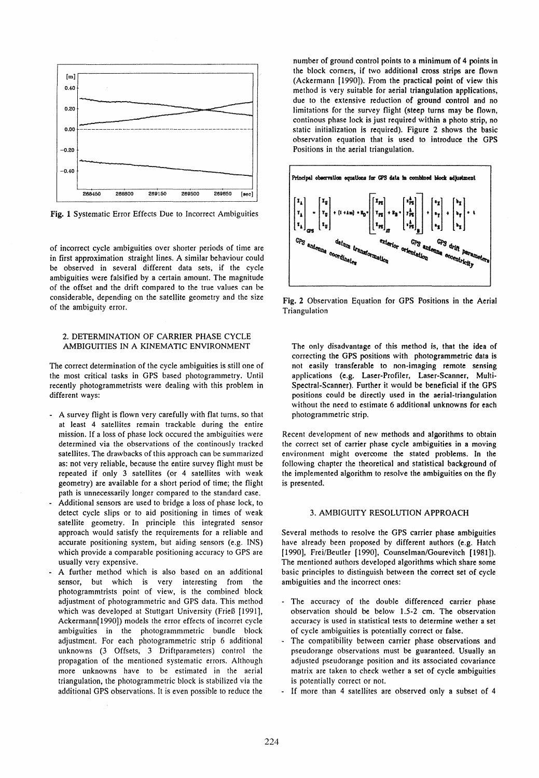

Fig. 1 Systematie Error Effeets Due to Ineorreet Ambiguities

of ineorreet eycle ambiguities over shorter periods of time are in first approximation straight lines. A similar behaviour could be observed in several different data sets, if the cycle ambiguities were falsified by a eertain amount. The magnitude of the offset and the drift compared to the true values can be considerable, depending on the satellite geometry and the size of the ambiguity error.

## 2. DETERMINATION OF CARRIER PHASE CYCLE AMBIGUITIES IN A KlNEMATIC ENVIRONMENT

The eorrect determination of the eycle ambiguities is still one of the most critical tasks in GPS based photogrammetry. Until recently photogrammetrists were dealing with this problem in different ways:

- A survey flight is flown very carefully with flat turns, so that at least 4 satellites remain trackable during the entire mission. If a loss of phase lock occured the ambiguities were determined via the observations of the continously tracked satellites. The drawbacks of this approach can be summarized as: not very reliable, because the entire survey flight must be repeated if only 3 satellites (or 4 satellites with weak geometry) are available for a short period of time; the flight path is unnecessarily longer compared to the standard case.
- Additional sensors are used to bridge a 10ss of phase lock, to detect cycle slips or to aid positioning in times of weak satellite geometry. In principle this integrated sensor approach would satisfy the requirements for a reliable and accurate positioning system, but aiding sensors (e.g. INS) which provide a eomparable positioning accuracy to GPS are usually very expensive.
- A further method which is also based on an additional sensor, but which is very interesting from the photogrammtrists point of view, is the combined block adjustment of photogrammetric and GPS data. This method which was developed at Stuttgart University (Frieß [1991], Aekermann(1990)) models the error effeets of incorret cyde ambiguities in the photogrammmetrie bundle block adjustment. For each photogrammetric strip 6 additional unknowns (3 Offsets, 3 Driftparameters) control the propagation of the mentioned systematic errors. Although more unknowns have to be estimated in the aerial triangulation, the photogrammetric block is stabilized via the additional GPS observations. It is even possible to reduce the

number of ground control points to a minimum of 4 points in the block corners, if two additional cross strips are flown (Ackermann [1990]). From the practical point of view this method is very suitable for aerial triangulation applications, due to the extensive reduction *ot* ground control and no limitations for the survey flight (steep turns may be flown, continous phase lock is just required within a photo strip, no statie initialization is required). Figure 2 shows the basic observation equation that is used to introduce the GPS Positions in the aerial triangulation.



Fig. 2 Observation Equation for GPS Positions in the Aerial Triangulation

The only disadvantage of this method is, that the idea of correcting the GPS positions with photogrammetric dats is not easily transferable to non-imaging remote sensing applications (e.g. Laser-Profiler, Laser-Scanner, Multi-Spectral-Scanner). Further it would be beneficial if the GPS positions could be directly used in the aerial-triangulation without the need to estimate 6 additional unknowns for each photogrammetric strip.

Recent development of new methods and algorithms to obtain the correct set of carrier phase cycle ambiguities in a moving environment might overcome the stated problems. In the following chapter the theoretical and statistical background of the implemented algorithm to resolve the ambiguities on the fly is presented.

## 3. AMBIGUITY RESOLUTION APPROACH

Several methods to resolve the GPS carrier phase ambiguities have already been proposed by different authors (e.g. Hatch [1990], Frei/Beutler [1990], Counselman/Gourevitch [1981]). The mentioned authors developed algorithms whieh share some basic principles to distinguish between the correct set of cyde ambiguities and the incorrect ones:

- The accuracy of the double differenced carrier phase observation should be below 1.5-2 cm. The observation accuracy is used in statistical tests to determine wether a set of cycle ambiguities is potentially correct or false.
- The compatibility between carrier phase observations and pseudorange observations must be guaranteed. Usually an adjusted pseudorange position and its associated eovariance matrix are taken to check wether a set of cycle ambiguities is potentially correct or not.
- If more than 4 satellites are observed only a subset of 4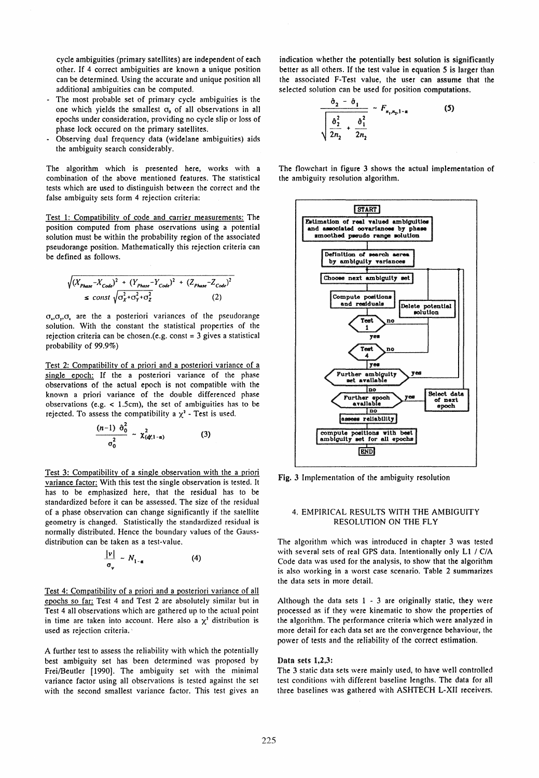cycle ambiguities (primary satellites) are independent of each other. If 4 correct ambiguities are known a unique position can be determined. Using the accurate and unique position all additional ambiguities can be computed.

- The most probable set of primary cycle ambiguities is the one which yields the smallest  $\sigma_0$  of all observations in all epochs under consideration, providing no cycle slip or loss of phase lock occured on the primary satellites.
- Observing dual frequency data (widelane ambiguities) aids the ambiguity search considerably.

The algorithm whieh is presented here, works with a combination of the above mentioned features. The statistical tests which are used to distinguish between the correct and the false ambiguity sets form 4 rejection criteria:

Test 1: Compatibility of code and carrier measurements: The position computed from phase oservations using a potential solution must be within the probability region of the associated pseudorange position. Mathematically this rejection criteria can be defined as folIows.

$$
\sqrt{(X_{Phase} - X_{Code})^2 + (Y_{Phase} - Y_{Code})^2 + (Z_{Phase} - Z_{Code})^2}
$$
  
 
$$
\leq \text{const } \sqrt{\sigma_x^2 + \sigma_y^2 + \sigma_z^2}
$$
 (2)

 $\sigma_{\nu}, \sigma_{\nu}, \sigma_{\nu}$  are the a posteriori variances of the pseudorange solution. With the constant the statistieal properties of the rejection criteria can be chosen.(e.g. const = 3 gives a statistical probability of 99.9%)

Test 2: Compatibility of a priori and a posteriori variance of a single epoch: If the a posteriori variance of the phase observations of the actual epoch is not compatible with the known a priori variance of the double differenced phase observations (e.g.  $<$  1.5cm), the set of ambiguities has to be rejected. To assess the compatibility a  $\chi^2$  - Test is used.

$$
\frac{(n-1) \hat{\sigma}_0^2}{\sigma_0^2} \sim \chi^2_{(d/1-\alpha)}
$$
 (3)

Test 3: Compatibility of a single observation with the a priori variance factor: With this test the single observation is tested. It has to be emphasized here, that the residual has to be standardized before it can be assessed. The size of the residual of a phase observation can change significantly if the satellite geometry is changed. Statistically the standardized residual is normally distributed. Hence the boundary values of the Gaussdistribution can be taken as a test-value.

$$
\frac{|\nu|}{\sigma_{\nu}} \sim N_{1-\alpha} \tag{4}
$$

Test 4: Compatibility of a priori and a posteriori variance of all epochs so far: Test 4 and Test 2 are absolutely similar but in Test 4 all observations which are gathered up 10 the actual point in time are taken into account. Here also a  $\chi^2$  distribution is used as rejection criteria.

A further test to assess the reliability with which the potentially best ambiguity set has been determined was proposed by Frei/Beutler [1990]. The ambiguity set with the minimal variance factor using all observations is tested against the set with the second smallest variance factor. This test gives an

indication whether the potentially best solution is significantly better as all others. If the test value in equation 5 is larger than the associated F-Test value, the user can assume that the selected solution can be used for position computations.

$$
\frac{\hat{\sigma}_2 - \hat{\sigma}_1}{\sqrt{\frac{\hat{\sigma}_2^2}{2n_2} + \frac{\hat{\sigma}_1^2}{2n_2}}}
$$
  $F_{n_1, n_2, 1-\alpha}$  (5)

The flowchart in figure 3 shows the actual implementation of the ambiguity resolution algorithm.



Fig. 3 Implementation of the ambiguity resolution

## 4. EMPIRICAL RESULTS WITH THE AMBIGUITY RESOLUTION ON THE FLY

The algorithm which was introduced in chapter 3 was tested with several sets of real GPS data. Intentionally only LI / C/A Code data was used for the analysis, to show that the algorithm is also working in a worst case scenario. Table 2 summarizes the data sets in more detail.

Although the data sets  $1 - 3$  are originally static, they were processed as if they were kinematic to show the properties of the aJgorithm. The performance criteria which were analyzed in more detail for each data set are the convergence behaviour, the power of tests and the reliability of the correct estimation.

#### Data sets 1,2,3:

The 3 static data sets were mainly used, to have well controlled test conditions with different baseline lengths. The data for all three baselines was gathered with ASHTECH L-XII receivers.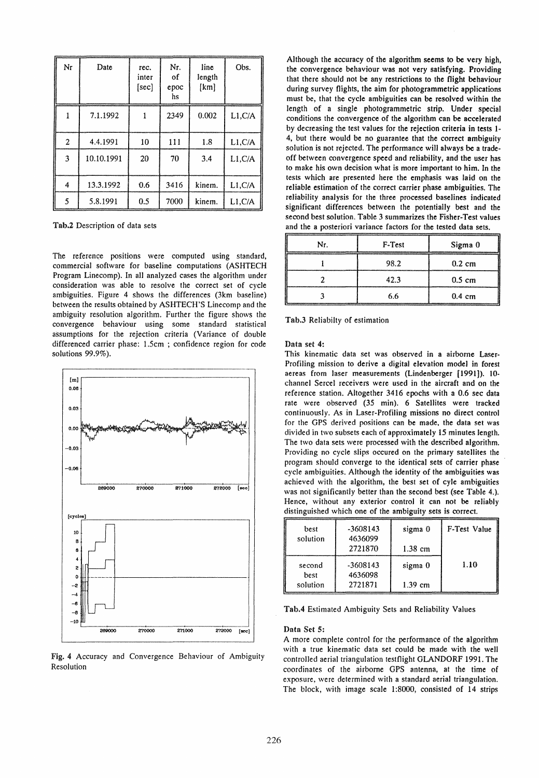| Nr             | Date       | rec.<br>inter<br>[sec] | Nr.<br>οf<br>epoc<br>hs | line<br>length<br>[km] | Obs.    |
|----------------|------------|------------------------|-------------------------|------------------------|---------|
|                | 7.1.1992   |                        | 2349                    | 0.002                  | L1, C/A |
| $\overline{c}$ | 4.4.1991   | 10                     | 111                     | 1.8                    | L1, C/A |
| 3              | 10.10.1991 | 20                     | 70                      | 3.4                    | L1, C/A |
| 4              | 13.3.1992  | 0.6                    | 3416                    | kinem.                 | L1, C/A |
| 5              | 5.8.1991   | 0.5                    | 7000                    | kinem.                 | L1, C/A |

Tab.2 Description of data sets

The reference positions were computed using standard, commercial software for baseline computations (ASHTECH Program Linecomp). In all analyzed cases the algorithm under consideration was able to resolve the correct set of cycle ambiguities. Figure 4 shows the differences (3km baseline) between the results obtained by ASHTECH'S Linecomp and the ambiguity resolution algorithm. Further the figure shows the convergence behaviour using some standard statistical assumptions for the rejection criteria (Variance of double differenced carrier phase: 1.5cm ; confidence region for code solutions 99.9%).



Fig. 4 Accuracy and Convergence Behaviour of Ambiguity Resolution

Although the accuracy of the algorithm seems to be very high, thc convergence behaviour was not very satisfying. Providing that there should not be any restrictions to the flight behaviour during survey flights, the aim for photogrammetric applications must be, that the cycle ambiguities can be resolved within the length of a single photogrammetric strip. Under special conditions the convergence of the algorithm can be accelerated by decreasing the test values for the rejection criteria in tests 1- 4, but there would be no guarantee that the correct ambiguity solution is not rejected. The performance will always be a tradeoff between convergence speed and reliability, and the user has to make his own decision what is more important to him. In the tests which are presented here the emphasis was laid on the reliable estimation of the correct carrier phase ambiguities. The reliability analysis for the three processed baselines indicated significant differences between the potentially best and the second best solution. Table 3 summarizes the Fisher-Test values and the a posteriori variance factors for the tested data sets.

| Nr. | F-Test | Sigma 0          |
|-----|--------|------------------|
|     | 98.2   | $0.2 \text{ cm}$ |
|     | 42.3   | $0.5 \text{ cm}$ |
|     | 6.6    | $0.4 \text{ cm}$ |

Tab.3 Reliabilty of estimation

Data set 4:

This kinematic data set was observed in a airborne Laser-Profiling mission to derive a digital elevation model in forest aereas from laser measurements (Lindenberger [1991]). 10channel Sercel receivers were used in the aircraft and on the reference station. Altogether 3416 epochs with a 0.6 sec data rate were observed (35 min). 6 Satellites were tracked continuously. As in Laser-Profiling missions no direct control for the GPS derived positions can be made, the data set was divided in two subsets each of approximately 15 minutes Jength. The two data sets were processed with the described aJgorithm. Providing no cyde slips occured on the primary satellites the program should converge to the identical sets of carrier phase eyde ambiguities. Although the identity of the ambiguities was achieved with the algorithm, the best set of eyle ambiguities was not significantly better than the second best (see Table 4.). Hence, without any exterior control it can not be reliably distinguished which one of the ambiguity sets is correct.

| best<br>solution           | $-3608143$<br>4636099<br>2721870 | sigma 0<br>$1.38$ cm | F-Test Value |
|----------------------------|----------------------------------|----------------------|--------------|
| second<br>best<br>solution | $-3608143$<br>4636098<br>2721871 | sigma 0<br>$1.39$ cm | 1.10         |

Tab.4 Estimated Ambiguity Sets and Reliability Values

## Data Set 5:

A more complete control for the performance of the algorithm with a true kinematic data set could be made with the weil controlled aerial triangulation testflight GLANDORF 1991. The coordinates of the airbome GPS antenna, at the time of exposure, were determined with a standard aerial triangulation. The block, with image scale 1:8000, consisted of 14 strips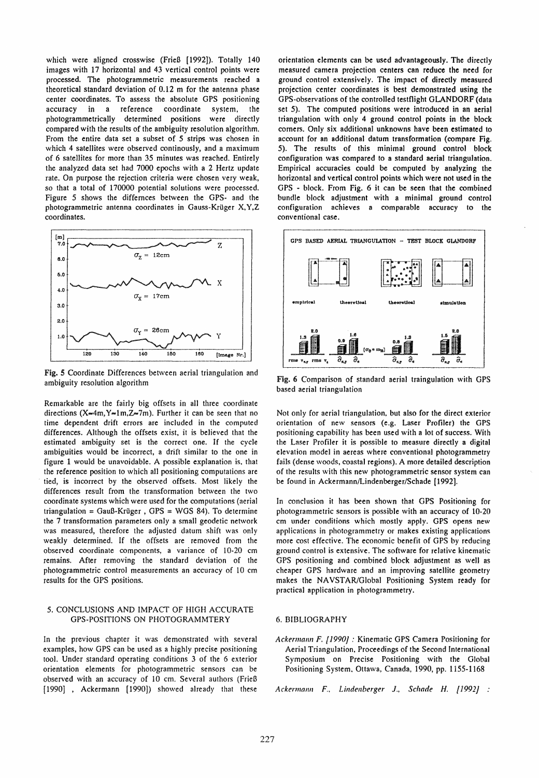which were aligned crosswise (Frieß [1992]). Totally 140 images with 17 horizontal and 43 vertical control points were processed. The photogrammetric measurements reached a theoretical standard deviation of 0.12 m for the antenna phase center coordinates. To assess the absolute GPS positioning accuracy in a reference coordinate system, the photogrammetrically determined positions were directly compared with the results of the ambiguity resolution algorithm. From the entire data set a subset of 5 strips was chosen in which 4 satellites were observed continously, and a maximum of 6 sateHites for more than 35 minutes was reached. Entirely the analyzed data set had 7000 epochs with a 2 Hertz update rate. On purpose the rejection criteria were chosen very weak, so that a total of 170000 potential solutions were processed. Figure 5 shows the differnces between the GPS- and the photogrammetric antenna coordinates in Gauss-Krüger X,Y,Z coordinates.



Fig. 5 Coordinate Differences between aerial triangulation and ambiguity resolution algorithm

Remarkable are the fairly big offsets in all three coordinate directions (X=4m, Y=1m, Z=7m). Further it can be seen that no time dependent drift errors are included in the computed differences. Although the offsets exist, it is believed that the estimated ambiguity set is the correct one. If the cycle ambiguities would be incorrect, a drift similar to the one in figure 1 would be unavoidable. A possible explanation is, that the reference position to which all positioning computations are tied, is incorrect by the observed offsets. Most likely the differences result from the transformation between the two coordinate systems which were used for the computations (aerial triangulation = Gauß-Krüger, GPS = WGS 84). To determine the 7 transformation parameters only a small geodetic network was measured, therefore the adjusted datum shift was only weakly determined. If the offsets are removed from the observed coordinate components, a variance of 10-20 cm remains. After removing the standard deviation of the photogrammetric control measurements an accuracy of 10 cm results for the GPS positions.

## 5. CONCLUSIONS AND IMPACT OF HIGH ACCURATE GPS-POSITIONS ON PHOTOGRAMMTERY

In the previous chapter it was demonstrated with several examples, how GPS can be used as a highly precise positioning tool. Under standard operating conditions 3 of the 6 exterior orientation elements for phologrammetric sensors can be observed with an accuracy of 10 cm. Several authors (Frieß [1990] , Ackermann [1990]) showed already that these orientation elements can be used advantageously. The directly measured camera projection centers can reduce the need for ground control extensively. The impact of directly measured projection center coordinates is best demonstrated using the GPS-observations of the controlled testflight GLANDORF (data set 5). The computed positions were introduced in an aerial triangulation with only 4 ground control points in the block corners. Only six additional unknowns have been estimated to account for an additional datum transformation (compare Fig. 5). The results of this minimal ground control block configuration was compared 10 a standard aerial triangulation. Empirical accuracies could be computed by analyzing the horizontal and vertical control points which were not used in the GPS - block. From Fig. 6 it can be seen that the combined bundle block adjustment with a minimal ground control configuration achieves a comparable accuracy to the conventional case.



Fig. 6 Comparison of standard aerial traingulation with GPS based aerial triangulation

Not only for aerial triangulation. but also for the direct exterior orientation of new sensors (e.g. Laser Profiler) the GPS positioning capability has been used with a lot of success. With the Laser Profiler it is possible to measure directly a digital elevation model in aereas where conventional photogrammetry fails (dense woods, coastal regions). A more detailed description of the results with this new photogrammetric sensor system can be found in Ackermann/Lindenberger/Schade [1992].

In conclusion it has been shown that GPS Positioning for photogrammetric sensors is possible with an accuracy of 10-20 cm under conditions which mostly apply. GPS opens new applications in photogrammetry or makes existing applications more cost effective. The economic benefit of GPS by reducing ground control is extensive. The software for relative kinematic GPS positioning and combined block adjustment as weil as cheaper GPS hardware and an improving satellite geometry makes the NAVSTAR/Global Positioning System ready for practical application in photogrammetry.

# 6. BIBUOGRAPHY

Ackermann F. [1990] : Kinematic GPS Camera Positioning for Aerial Triangulation. Proceedings of the Second International Symposium on Precise Positioning with the Global Positioning System. Ottawa, Canada, 1990, pp. 1155-1l68

*Ackermallll F.. Lindenberger* J.. *Sc!wde* H. *{I 992J* :